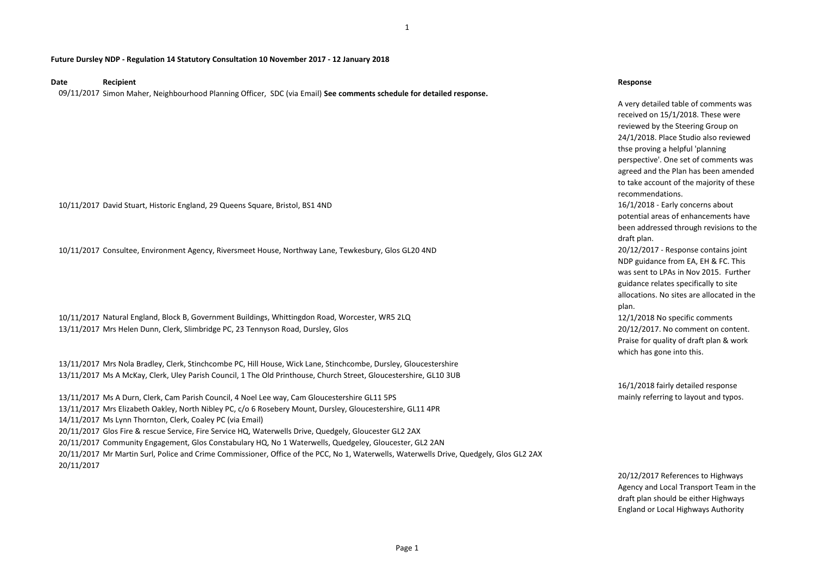1

### **Future Dursley NDP - Regulation 14 Statutory Consultation 10 November 2017 - 12 January 2018**

## **Date Recipient Response**

09/11/2017 Simon Maher, Neighbourhood Planning Officer, SDC (via Email) **See comments schedule for detailed response.**

10/11/2017 David Stuart, Historic England, 29 Queens Square, Bristol, BS1 4ND 16/1/2018 - Early concerns about

10/11/2017 Consultee, Environment Agency, Riversmeet House, Northway Lane, Tewkesbury, Glos GL20 4ND 20/12/2017 - Response contains joint

10/11/2017 Natural England, Block B, Government Buildings, Whittingdon Road, Worcester, WR5 2LQ 12/1/2018 No specific comments 13/11/2017 Mrs Helen Dunn, Clerk, Slimbridge PC, 23 Tennyson Road, Dursley, Glos 20/12/2017. No comment on content.

13/11/2017 Mrs Nola Bradley, Clerk, Stinchcombe PC, Hill House, Wick Lane, Stinchcombe, Dursley, Gloucestershire 13/11/2017 Ms A McKay, Clerk, Uley Parish Council, 1 The Old Printhouse, Church Street, Gloucestershire, GL10 3UB

13/11/2017 Ms A Durn, Clerk, Cam Parish Council, 4 Noel Lee way, Cam Gloucestershire GL11 5PS 13/11/2017 Mrs Elizabeth Oakley, North Nibley PC, c/o 6 Rosebery Mount, Dursley, Gloucestershire, GL11 4PR 14/11/2017 Ms Lynn Thornton, Clerk, Coaley PC (via Email) 20/11/2017 Glos Fire & rescue Service, Fire Service HQ, Waterwells Drive, Quedgely, Gloucester GL2 2AX 20/11/2017 Community Engagement, Glos Constabulary HQ, No 1 Waterwells, Quedgeley, Gloucester, GL2 2AN 20/11/2017 Mr Martin Surl, Police and Crime Commissioner, Office of the PCC, No 1, Waterwells, Waterwells Drive, Quedgely, Glos GL2 2AX 20/11/2017

A very detailed table of comments was received on 15/1/2018. These were reviewed by the Steering Group on 24/1/2018. Place Studio also reviewed thse proving a helpful 'planning perspective'. One set of comments was agreed and the Plan has been amended to take account of the majority of these recommendations.

potential areas of enhancements have been addressed through revisions to the draft plan.

NDP guidance from EA, EH & FC. This was sent to LPAs in Nov 2015. Further guidance relates specifically to site allocations. No sites are allocated in the plan.

Praise for quality of draft plan & work which has gone into this.

16/1/2018 fairly detailed response mainly referring to layout and typos.

20/12/2017 References to Highways Agency and Local Transport Team in the draft plan should be either Highways England or Local Highways Authority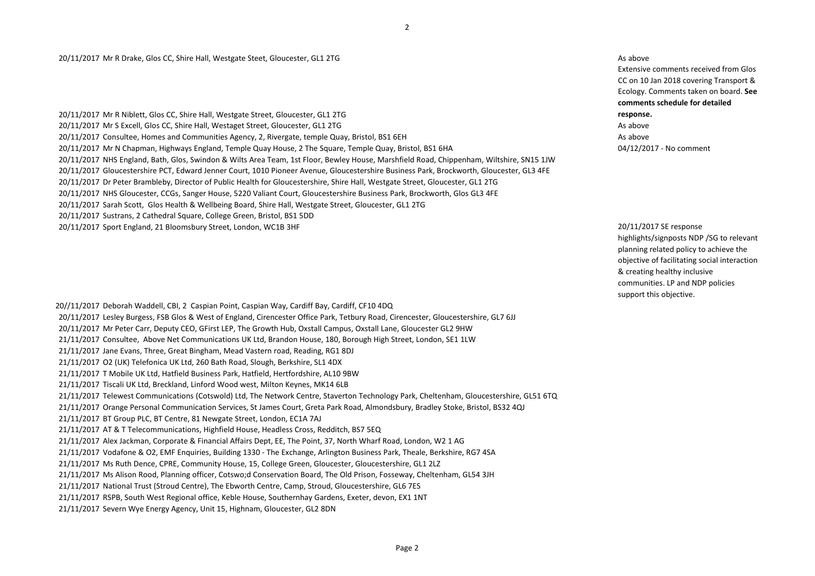# 20/11/2017 Mr R Drake, Glos CC, Shire Hall, Westgate Steet, Gloucester, GL1 2TG As above and the steet of the steet of the steet of the steet of the steet of the steet of the steet of the steet of the steet of the steet of

20/11/2017 Mr R Niblett, Glos CC, Shire Hall, Westgate Street, Gloucester, GL1 2TG 20/11/2017 Mr S Excell, Glos CC, Shire Hall, Westaget Street, Gloucester, GL1 2TG As above As above 20/11/2017 Consultee, Homes and Communities Agency, 2, Rivergate, temple Quay, Bristol, BS1 6EH As above and Communities Agency, 2, Rivergate, temple Quay, Bristol, BS1 6EH 20/11/2017 Mr N Chapman, Highways England, Temple Quay House, 2 The Square, Temple Quay, Bristol, BS1 6HA 04/12/2017 - No comment 20/11/2017 NHS England, Bath, Glos, Swindon & Wilts Area Team, 1st Floor, Bewley House, Marshfield Road, Chippenham, Wiltshire, SN15 1JW 20/11/2017 Gloucestershire PCT, Edward Jenner Court, 1010 Pioneer Avenue, Gloucestershire Business Park, Brockworth, Gloucester, GL3 4FE 20/11/2017 Dr Peter Brambleby, Director of Public Health for Gloucestershire, Shire Hall, Westgate Street, Gloucester, GL1 2TG 20/11/2017 NHS Gloucester, CCGs, Sanger House, 5220 Valiant Court, Gloucestershire Business Park, Brockworth, Glos GL3 4FE 20/11/2017 Sarah Scott, Glos Health & Wellbeing Board, Shire Hall, Westgate Street, Gloucester, GL1 2TG 20/11/2017 Sustrans, 2 Cathedral Square, College Green, Bristol, BS1 5DD 20/11/2017 Sport England, 21 Bloomsbury Street, London, WC1B 3HF 20/11/2017 SE response

20//11/2017 Deborah Waddell, CBI, 2 Caspian Point, Caspian Way, Cardiff Bay, Cardiff, CF10 4DQ 20/11/2017 Lesley Burgess, FSB Glos & West of England, Cirencester Office Park, Tetbury Road, Cirencester, Gloucestershire, GL7 6JJ 20/11/2017 Mr Peter Carr, Deputy CEO, GFirst LEP, The Growth Hub, Oxstall Campus, Oxstall Lane, Gloucester GL2 9HW 21/11/2017 Consultee, Above Net Communications UK Ltd, Brandon House, 180, Borough High Street, London, SE1 1LW 21/11/2017 Jane Evans, Three, Great Bingham, Mead Vastern road, Reading, RG1 8DJ 21/11/2017 O2 (UK) Telefonica UK Ltd, 260 Bath Road, Slough, Berkshire, SL1 4DX 21/11/2017 T Mobile UK Ltd, Hatfield Business Park, Hatfield, Hertfordshire, AL10 9BW 21/11/2017 Tiscali UK Ltd, Breckland, Linford Wood west, Milton Keynes, MK14 6LB 21/11/2017 Telewest Communications (Cotswold) Ltd, The Network Centre, Staverton Technology Park, Cheltenham, Gloucestershire, GL51 6TQ 21/11/2017 Orange Personal Communication Services, St James Court, Greta Park Road, Almondsbury, Bradley Stoke, Bristol, BS32 4QJ 21/11/2017 BT Group PLC, BT Centre, 81 Newgate Street, London, EC1A 7AJ 21/11/2017 AT & T Telecommunications, Highfield House, Headless Cross, Redditch, BS7 5EQ 21/11/2017 Alex Jackman, Corporate & Financial Affairs Dept, EE, The Point, 37, North Wharf Road, London, W2 1 AG 21/11/2017 Vodafone & O2, EMF Enquiries, Building 1330 - The Exchange, Arlington Business Park, Theale, Berkshire, RG7 4SA 21/11/2017 Ms Ruth Dence, CPRE, Community House, 15, College Green, Gloucester, Gloucestershire, GL1 2LZ 21/11/2017 Ms Alison Rood, Planning officer, Cotswo;d Conservation Board, The Old Prison, Fosseway, Cheltenham, GL54 3JH 21/11/2017 National Trust (Stroud Centre), The Ebworth Centre, Camp, Stroud, Gloucestershire, GL6 7ES 21/11/2017 RSPB, South West Regional office, Keble House, Southernhay Gardens, Exeter, devon, EX1 1NT 21/11/2017 Severn Wye Energy Agency, Unit 15, Highnam, Gloucester, GL2 8DN

Extensive comments received from Glos CC on 10 Jan 2018 covering Transport & Ecology. Comments taken on board. **See comments schedule for detailed response.** 

highlights/signposts NDP /SG to relevant planning related policy to achieve the objective of facilitating social interaction & creating healthy inclusive communities. LP and NDP policies support this objective.